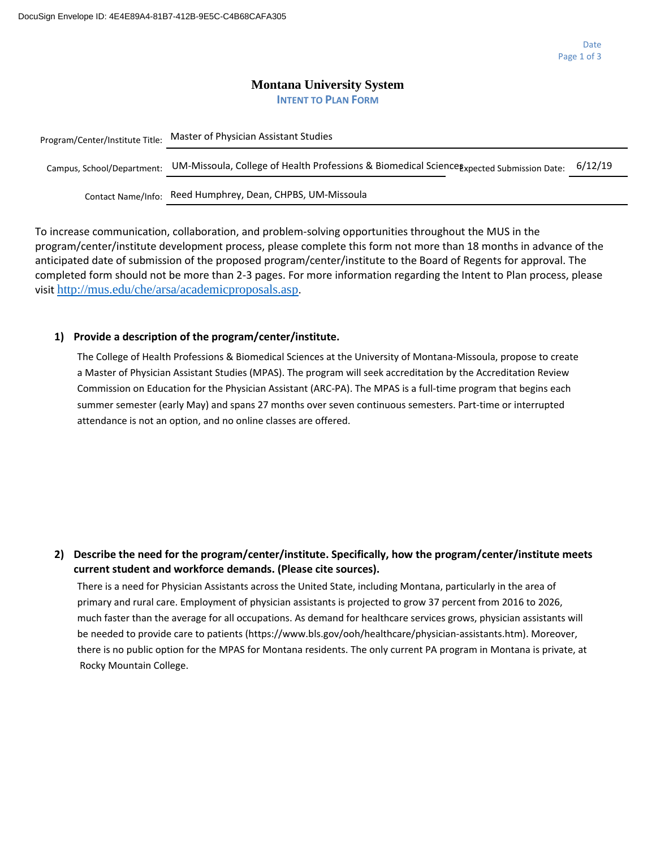#### **Montana University System INTENT TO PLAN FORM**

| Program/Center/Institute Title: | Master of Physician Assistant Studies                                                     |         |
|---------------------------------|-------------------------------------------------------------------------------------------|---------|
| Campus, School/Department:      | UM-Missoula, College of Health Professions & Biomedical Science Expected Submission Date: | 6/12/19 |
| Contact Name/Info:              | Reed Humphrey, Dean, CHPBS, UM-Missoula                                                   |         |

To increase communication, collaboration, and problem-solving opportunities throughout the MUS in the program/center/institute development process, please complete this form not more than 18 months in advance of the anticipated date of submission of the proposed program/center/institute to the Board of Regents for approval. The completed form should not be more than 2-3 pages. For more information regarding the Intent to Plan process, please visit <http://mus.edu/che/arsa/academicproposals.asp>.

#### **1) Provide a description of the program/center/institute.**

The College of Health Professions & Biomedical Sciences at the University of Montana-Missoula, propose to create a Master of Physician Assistant Studies (MPAS). The program will seek accreditation by the Accreditation Review Commission on Education for the Physician Assistant (ARC-PA). The MPAS is a full-time program that begins each summer semester (early May) and spans 27 months over seven continuous semesters. Part-time or interrupted attendance is not an option, and no online classes are offered.

#### **2) Describe the need for the program/center/institute. Specifically, how the program/center/institute meets current student and workforce demands. (Please cite sources).**

There is a need for Physician Assistants across the United State, including Montana, particularly in the area of primary and rural care. Employment of physician assistants is projected to grow 37 percent from 2016 to 2026, much faster than the average for all occupations. As demand for healthcare services grows, physician assistants will be needed to provide care to patients (https://www.bls.gov/ooh/healthcare/physician-assistants.htm). Moreover, there is no public option for the MPAS for Montana residents. The only current PA program in Montana is private, at Rocky Mountain College.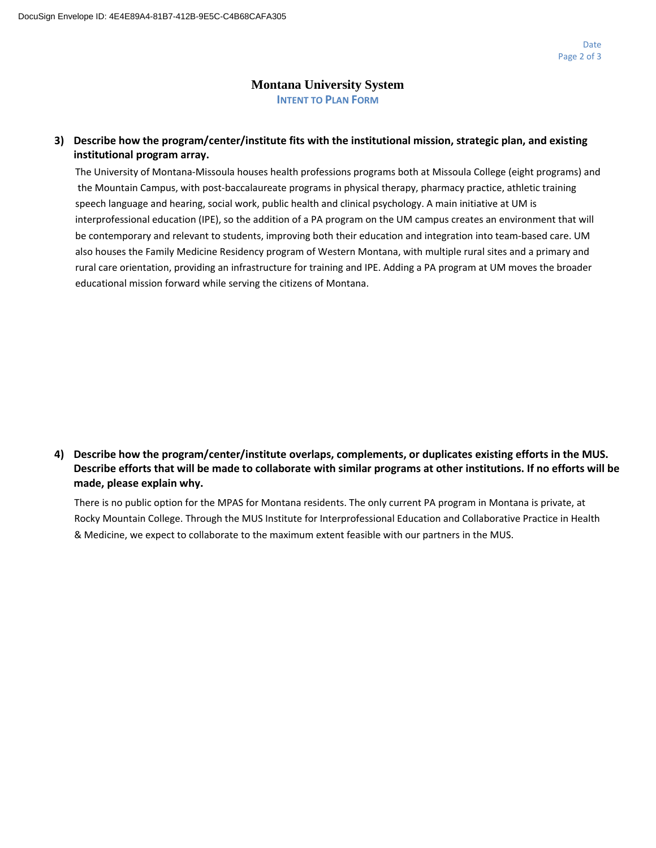### **Montana University System INTENT TO PLAN FORM**

### **3) Describe how the program/center/institute fits with the institutional mission, strategic plan, and existing institutional program array.**

The University of Montana-Missoula houses health professions programs both at Missoula College (eight programs) and the Mountain Campus, with post-baccalaureate programs in physical therapy, pharmacy practice, athletic training speech language and hearing, social work, public health and clinical psychology. A main initiative at UM is interprofessional education (IPE), so the addition of a PA program on the UM campus creates an environment that will be contemporary and relevant to students, improving both their education and integration into team-based care. UM also houses the Family Medicine Residency program of Western Montana, with multiple rural sites and a primary and rural care orientation, providing an infrastructure for training and IPE. Adding a PA program at UM moves the broader educational mission forward while serving the citizens of Montana.

## **4) Describe how the program/center/institute overlaps, complements, or duplicates existing efforts in the MUS. Describe efforts that will be made to collaborate with similar programs at other institutions. If no efforts will be made, please explain why.**

There is no public option for the MPAS for Montana residents. The only current PA program in Montana is private, at Rocky Mountain College. Through the MUS Institute for Interprofessional Education and Collaborative Practice in Health & Medicine, we expect to collaborate to the maximum extent feasible with our partners in the MUS.